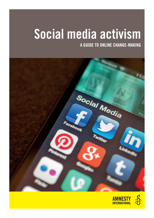# Social media activism

A GUIDE TO ONLINE CHANGE-MAKING



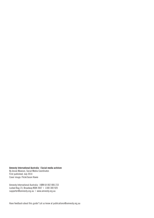#### Amnesty International Australia | Social media activism

By Jessie Mawson, Social Media Coordinator. First published: July 2014 Cover image: Flickr/Jason Howie

Amnesty International Australia | ABN 64 002 806 233 Locked Bag 23, Broadway NSW 2007 | 1300 300 920 supporter@amnesty.org.au | www.amnesty.org.au

Have feedback about this guide? Let us know at publications@amnesty.org.au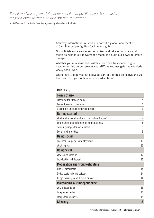*Social media is a powerful tool for social change. It's never been easier for good ideas to catch on and spark a movement.*

Jessie Mawson, Social Media Coordinator, Amnesty International Australia

Amnesty International Australia is part of a global movement of 4.6 million people fighting for human rights.

Our activists raise awareness, organise, and take action via social media to expand our movement's reach and build our power to create change.

Whether you're a seasoned Twitter addict or a fresh-faced digital newbie, let this guide serve as your GPS as you navigate the wonderful, wacky social web.

We're here to help you get active as part of a united collective and get the most from your online activism adventures!

#### **CONTENTS**

| <b>Terms of use</b>                                |                |
|----------------------------------------------------|----------------|
| Licensing the Amnesty name                         | 4              |
| Account naming conventions                         | 5              |
| Description and disclaimer templates               | 6              |
| <b>Getting started</b>                             |                |
| What kind of social media account is best for you? | $\overline{7}$ |
| Establishing and enforcing a comments policy       | 8              |
| Sourcing images for social media                   | 8              |
| Social media top tips                              | 9              |
| <b>Being social</b>                                |                |
| Facebook is a party, not a classroom               | 10             |
| What to post                                       | 11             |
| Going 'viral'                                      |                |
| Why things catch on                                | 12             |
| Introduction to Edgerank                           | 13             |
| <b>Moderation and troubleshooting</b>              |                |
| Tips for moderators                                | 14             |
| Dodgy posts (when to delete)                       | 14             |
| Trigger warnings and difficult subjects            | 14             |
| <b>Maintaining our independence</b>                |                |
| Why independence?                                  | 15             |
| Independence dos                                   | 15             |
| Independence don'ts                                | 15             |
| Glossary                                           | 16             |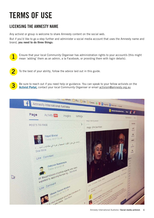## TERMS OF USE

3

## LICENSING THE AMNESTY NAME

Any activist or group is welcome to share Amnesty content on the social web.

But if you'd like to go a step further and administer a social media account that uses the Amnesty name and brand, you need to do three things:



To the best of your ability, follow the advice laid out in this guide. 2

Be sure to reach out if you need help or guidance. You can speak to your fellow activists on the Activist Portal, contact your local Community Organiser or email activism@amnesty.org.au

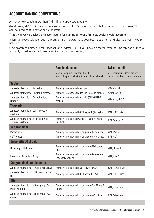## ACCOUNT NAMING CONVENTIONS

Amnesty now boasts more than 4.6 million supporters globally.

Great news, eh? But it means there are an awful lot of 'Amnesty' accounts floating around out there. This can be a tad confusing for our supporters.

#### That's why we've devised a (loose) system for naming different Amnesty social media accounts.

It isn't an exact science, but it's pretty straightforward. Use your best judgement and give us a yell if you're not sure.

(The examples below are for Facebook and Twitter – but if you have a different type of Amnesty social media account, it makes sense to use a similar naming convention).

|                                                            | <b>Facebook name</b>                                                                  | <b>Twitter handle</b>                                                     |
|------------------------------------------------------------|---------------------------------------------------------------------------------------|---------------------------------------------------------------------------|
|                                                            | More descriptive is better. Should<br>always be prefaced with 'Amnesty International' | <16 characters. Shorter is better.<br>Letters, numbers, underscores only. |
| <b>Section</b>                                             |                                                                                       |                                                                           |
| Amnesty International Australia                            | Amnesty International Australia                                                       | @Amnesty0z                                                                |
| Amnesty International Australia, Victoria                  | Amnesty International Australia (Victoria branch)                                     | @AmnestyVic                                                               |
| Amnesty International Australia, Qld/<br><b>NthNSW</b>     | Amnesty International Australia (QId/NthNSW<br>branch)                                | @AmnestyQNSW                                                              |
| <b>Thematic</b>                                            |                                                                                       |                                                                           |
| Amnesty International LGBTI network,<br>Australia          | Amnesty International LGBTI network (Australia)                                       | @AI_LGBTI_Oz                                                              |
| Amnesty International women's rights<br>network, Australia | Amnesty International women's rights network<br>(Australia)                           | @AI Women Oz                                                              |
| Geographical                                               |                                                                                       |                                                                           |
| Parramatta                                                 | Amnesty International action group (Parramatta)                                       | @Al_Parra                                                                 |
| <b>Coffs Coast</b>                                         | Amnesty International action group (Coffs Coast)                                      | @AI_Coffs                                                                 |
| <b>Universities/Schools</b>                                |                                                                                       |                                                                           |
| University of Melbourne                                    | Amnesty International action group (Melbourne<br>Uni)                                 | @AI_UniMelb                                                               |
| Kooweerup Secondary College                                | Amnesty International action group (Kooweerup<br>Secondary College)                   | @AI_KwrpSec                                                               |
| <b>Geographical and thematic</b>                           |                                                                                       |                                                                           |
| Amnesty International legal network, NSW                   | Amnesty International legal network (NSW)                                             | @AI_Legal_NSW                                                             |
| Amnesty International LGBTI network, SA/<br>ΝT             | Amnesty International LGBTI network (SA/NT)                                           | @AI_LGBTI_SANT                                                            |
| <b>Other</b>                                               |                                                                                       |                                                                           |
| Amnesty International action group, Tas<br>Mums and Bubs   | Amnesty International action group (Tas Mums &<br>Bubs)                               | @AI_TasMums                                                               |
| Amnesty International action group (WA<br>online)          | Amnesty International action group (WA online)                                        | @AI_WAOnline                                                              |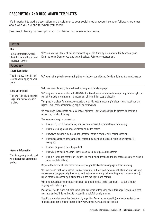## DESCRIPTION AND DISCLAIMER TEMPLATES

It's important to add a description and disclaimer to your social media account so your followers are clear about who you are and for whom you speak.

Feel free to base your description and disclaimer on the examples below.

| <b>Twitter</b>                                                                                    |                                                                                                                                                                                                                                                                                      |
|---------------------------------------------------------------------------------------------------|--------------------------------------------------------------------------------------------------------------------------------------------------------------------------------------------------------------------------------------------------------------------------------------|
| <b>Bio</b><br><160 characters. Choose<br>the information that's most<br>important to you.         | We're an awesome team of volunteers tweeting for the Amnesty International UNSW action group.<br>Email convenor@amnesty.org.au to get involved. Retweet $\neq$ endorsement.                                                                                                          |
| <b>Facebook</b>                                                                                   |                                                                                                                                                                                                                                                                                      |
| <b>Short description</b>                                                                          |                                                                                                                                                                                                                                                                                      |
| The first three lines in this<br>section will display on your<br>page.                            | We're part of a global movement fighting for justice, equality and freedom. Join us at amnesty.org.au                                                                                                                                                                                |
| <b>Long description</b><br>This won't be visible on your<br>page until someone clicks<br>to view. | Welcome to our Amnesty International action group Facebook page.                                                                                                                                                                                                                     |
|                                                                                                   | We're a group of activists from the NSW Central Coast passionate about championing human rights as<br>part of Amnesty International $-$ a movement of 4.6 million people globally.                                                                                                   |
|                                                                                                   | This page is a place for Amnesty supporters to participate in meaningful discussions about human<br>rights. Email convenor@amnesty.org.au to get involved                                                                                                                            |
|                                                                                                   | We encourage lively debate and a variety of opinions – but we expect you to express yourself in a<br>respectful, constructive way.                                                                                                                                                   |
|                                                                                                   | Your comment may be removed if:                                                                                                                                                                                                                                                      |
|                                                                                                   | It is racist, sexist, homophobic, abusive or otherwise discriminatory or defamatory.<br>$\bullet$                                                                                                                                                                                    |
|                                                                                                   | It is threatening, encourages violence or incites hatred.<br>$\bullet$                                                                                                                                                                                                               |
|                                                                                                   | It involves swearing, name-calling, personal attacks or other anti-social behaviour.<br>$\bullet$                                                                                                                                                                                    |
| <b>General information</b><br>This is a great place to post<br>your Facebook comments<br>policy.  | It includes video or images that our community may find distressing (graphic violence, for<br>$\bullet$<br>example).                                                                                                                                                                 |
|                                                                                                   | Its main purpose is to sell a product.<br>$\bullet$                                                                                                                                                                                                                                  |
|                                                                                                   | It is wildly off-topic or spam (like the same comment posted repeatedly).<br>$\bullet$                                                                                                                                                                                               |
|                                                                                                   | It is in a language other than English (we can't vouch for the suitability of these posts, so when in<br>$\bullet$<br>doubt we delete them).                                                                                                                                         |
|                                                                                                   | Repeated failure to stick to these rules may see you blocked from our page without warning.                                                                                                                                                                                          |
|                                                                                                   | We understand that social media is a 24/7 medium, but our moderation capabilities are not! We may<br>not see every dodgy post right away, so we trust our community to ignore inappropriate comments (or<br>report them to Facebook by clicking the x in the top right-hand corner). |
|                                                                                                   | When inappropriate comments are deleted, so are all replies to that comment $-$ so don't bother<br>arguing with rude people.                                                                                                                                                         |
|                                                                                                   | Please feel free to reach out with comments, concerns or feedback about this page. Send us a direct<br>message and we'll do our best to respond in a helpful, timely manner.                                                                                                         |
|                                                                                                   | Specific or detailed enquiries (particularly regarding Amnesty membership) are best directed to our<br>friendly supporter relations team > http://www.amnesty.org.au/about/contact                                                                                                   |
|                                                                                                   |                                                                                                                                                                                                                                                                                      |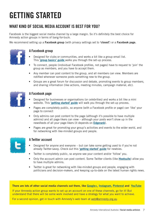## GETTING STARTED

## WHAT KIND OF SOCIAL MEDIA ACCOUNT IS BEST FOR YOU?

Facebook is the biggest social media channel by a large margin. So it's definitely the best choice for Amnesty action groups in terms of bang-for-buck.

We recommend setting up a Facebook group (with privacy settings set to 'closed') or a Facebook page.



#### A Facebook group

- Designed for clubs or communities, and works a bit like a group email list. This 'group basics' guide walks you through the set-up process.
- To connect, people (individual Facebook profiles, not pages) have to request to 'join' the group as members, and you have to accept them.
- Any member can post content to the group, and all members can view. Members are notified whenever someone posts something new to the group.
- Groups are a great forum for discussion and debate, promoting events to group members, and sharing information (like actions, meeting minutes, campaign material, etc).



#### A Facebook page

- Designed for businesses or organisations (or celebrities) and works a bit like a mini website. This 'getting started' guide will walk you through the set-up process.
- Pages are completely public, so anyone (with a Facebook profile or page) can 'like' your page to connect
- Only admins can post content to the page (although it's possible to have multiple admins) and all page-likers can view – although your posts won't show up in the newsfeeds of all your page-likers (it depends on **Edgerank**).
- Pages are great for promoting your group's activities and events to the wider world, and for networking with like-minded groups and people.



#### A Twitter account

- Designed for anyone and everyone but can take some getting used to if you're not already Twitter-savvy. Check out this 'getting started' guide for newbies.
- Twitter is completely public, so anyone see your content and/or 'follow' you.
- Only the account admin can post content. Some Twitter clients (like **Hootsuite**) allow you to have multiple admins.
- Twitter is great for networking with like-minded groups and people, engaging with politicians and decision-makers, and keeping up-to-date on the latest human rights news.

#### There are lots of other social media channels out there, like Google+, Instagram, Pinterest and YouTube

If your Amnesty action group wants to set up an account on one of these channels, go for it! But understand that there will be some work involved and have a strategy for what you want to achieve.

For a second opinion, get in touch with Amnesty's web team at web@amnesty.org.au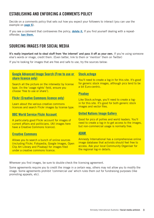## ESTABLISHING AND ENFORCING A COMMENTS POLICY

Decide on a comments policy that sets out how you expect your followers to interact (you can use the example on page 6).

If you see a comment that contravenes the policy, **delete it.** If you find yourself dealing with a repeatoffender, ban them.

### SOURCING IMAGES FOR SOCIAL MEDIA

It's really important not to steal stuff from 'the internet' and pass it off as your own. If you're using someone else's words or image, credit them. (Even better, link to them or 'mention' them on Twitter)

If you're looking for images that are free and safe to use, try the sources below:

#### Google Advanced Image Search (Free to use or share licence only)

Search all the picture on the interwebz by license type. (In the 'usage rights' field, ensure you choose 'free to use or share').

#### Flickr (Creative Commons licence only)

Learn about the various creative commons licences and search Flickr images by license type.

#### BBC World Service Flickr Account

A particularly good Flickr account for images of current affairs and politicians. (All images here have a Creative Commons licence).

#### Creative Commons

Allows you to search a bunch of online sources (including Flickr, Fotopedia, Google Images, Open Clip Art Library and Pixabay) for images filed under a creative commons licence.

#### Stock.xchnge

You'll need to create a log-in for this site. It's good for generic stock images, although pics tend to be a bit Euro-centric.

#### **Pixabav**

Like Stock.xchnge, you'll need to create a login for this site. It's good for both generic stock images and vector files.

#### United Nations Image Gallery

Good for pics of pollies and world leaders. You'll need to create a log-in to get access to the images, but non-commercial usage is normally free.

#### ADAM

Amnesty International has a comprehensive online image database that activists should feel free to access. Ask your local Community Organiser for the regional log-in details.

Wherever you find images, be sure to double-check the licensing agreement.

Some agreements require you to credit the image in a certain way, others may not allow you to modify the image. Some agreements prohibit 'commercial use' which rules them out for fundraising purposes (like promoting appeals, etc).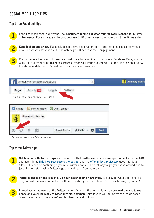## SOCIAL MEDIA TOP TIPS

#### Top three Facebook tips

Each Facebook page is different  $-$  so experiment to find out what your followers respond to in terms of frequency. For starters, aim to post between 5-10 times a week (no more than three times a day).

2

1

Keep it short and sweet. Facebook doesn't have a character limit – but that's no excuse to write a novel! Posts with less than 250 characters get 60 per cent more engagement.

3

Post at times when your followers are most likely to be online. If you have a Facebook Page, you can work this out by clicking Insights > Posts > When your Fans are Online. Use the clock symbol below the status update box to 'schedule' posts for a later time/date.



*Schedule posts for a later time/date*

#### Top three Twitter tips

Get familiar with Twitter lingo – abbreviations that Twitter users have developed to deal with the 140 character limit. This blog post covers the basics, and the official Twitter glossary goes into detail. (Note: This can be confusing if you're a Twitter newbie. The best way to get your head around it is to just dive in – start using Twitter regularly and learn from others.) 1



Twitter is based on the idea of a 24-hour, never-ending news cycle. It's okay to tweet often and it's okay to post the same content more than once (but give it a different 'spin' each time, if you can).

Immediacy is the name of the Twitter game. It's an on-the-go medium, so **download the app to your** phone and you'll be ready to tweet anytime, anywhere. Aim to give your followers the inside scoop. Show them 'behind the scenes' and let them be first to know. 3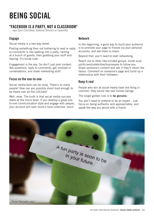## BEING SOCIAL

### "FACEBOOK IS A PARTY, NOT A CLASSROOM"

... says Sara Critchfield, Editorial Director at Upworthy

#### Engage

Social media is a two-way street.

Posting something then not bothering to read or reply to comments is like walking into a party, ranting at a bunch of guests, then grabbing your stuff and leaving. It's kinda rude.

Engagement is the key. So don't just post content. Ask questions, reply to comments, get involved in conversations, and share interesting stuff.

#### Focus on the one-to-one

Social media-land can be noisy. There's so many people! How can you possibly shout loud enough to be heard over all the LOLCats?

Well, relax. The truth is that social media success starts at the micro level. If you develop a great oneto-one communication style and engage with people, your account will soon build a loud collective 'voice'.

#### Network

In the beginning, a good way to build your audience is to promote your page to friends via your personal accounts, and ask them to share.

Beyond that, you'll need to start networking.

Reach out to other like-minded groups. Invite local politicians/celebrities/businesses to follow you. Share someone's content and ask if they'll return the favour. Comment on someone's page and build up a relationship with their followers.

#### Keep it real

People who win at social media have one thing in common: they sound like real human beings.

The single golden rule is to be genuine.

You don't need to pretend to be an expert  $-$  just focus on being authentic and approachable, and speak the way you would with a friend.

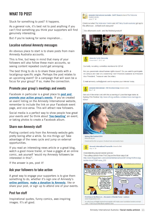## WHAT TO POST

Stuck for something to post? It happens.

As a general rule, it's best not to post anything if you can't find something you think your supporters will find genuinely interesting.

But if you're looking for some inspiration...

#### Localise national Amnesty messages

An obvious place to start is to share posts from main Amnesty Australia accounts.

This is fine, but keep in mind that many of your followers will also follow these main accounts, so seeing content repeated could get annoying.

The best thing to do is to share these posts with a local/group-specific angle. Perhaps the post relates to an upcoming event? Or a campaign that will soon be a focus for your group? If so, make the connection.

#### Promote your group's meetings and events

Facebook in particular is a great place to **post and** promote your action group's events. If you've created an event listing on the Amnesty International website, remember to include the link on your Facebook event page, and vice-versa. This will attract new followers.

Social media is a perfect way to show people how great your events are! So think about 'live-tweeting' an event, or taking photos to create a Facebook album.

#### Share non-Amnesty stuff

Posting content only from the Amnesty website gets pretty boring after a while. So mix things up! Take advantage of the news cycle and jump on external opportunities.

If you read an interesting news article or a great blog, watch a good movie trailer, or have a giggle at an online comic, ask yourself 'would my Amnesty followers be interested in this?'.

If the answer is yes, post it!

#### Ask your followers to take action

A great way to engage your supporters is to give them something to do, whether it's sign one of Amnesty's online petitions, make a donation to Amnesty, like or share your post, or sign up to attend one of your events.

#### Post fun stuff

Inspirational quotes, funny comics, awe-inspiring images. It's all good.



Amnesty International Australia - SA/NT Branch shared The Welcome



Centre's photo

June 17 @

**Mary 1** 

Currently recruiting committee members for 2014!

Are you passionate about human rights issues? Do you want to participate on campus and take on a leadership role? Positions available as President Vice President, Treasurer and Secretary.

E-mail amnesty.curtin@gmail.com to express your interest today.



Get out of the winter cold with this screening of Love Marriage Kabul at Sydney Film Festival http://www.sff.org.au/films-container/love-marriage-inkabul/



**Sydney Film Festival 2014** www.sff.org.au Check out the film program, Festival Hub and events here.

Amnesty International Townsville shared a link 乖 May 14 (A)

Understanding asylum seeker policies

This cutting cartoon from First Dog on the Moon says it all http://www.thequardian.com/commentisfree/cartoon/2014/may/12/first-dogborder-force?CMP=ema\_632

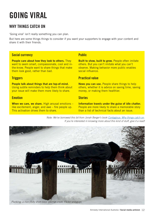## GOING VIRAL

## WHY THINGS CATCH ON

'Going viral' isn't really something you can plan.

But here are some things things to consider if you want your supporters to engage with your content and share it with their friends.

#### Social currency

People care about how they look to others. They want to seem smart, compassionate, cool and inthe-know. People want to share things that make them look good, rather than bad.

#### **Triggers**

People talk about things that are top-of-mind. Using subtle reminders to help them think about your issue will make them more likely to share.

#### **Emotion**

When we care, we share. High arousal emotions like excitement, anger, and awe – fire people up. This activation drives them to share.

#### **Public**

Built to show, built to grow. People often imitate others. But you can't imitate what you can't observe. Making behavior more public enables social influence.

#### Practical value

News you can use. People share things to help others, whether it is advice on saving time, saving money, or making them healthier.

#### **Stories**

Information travels under the guise of idle chatter. People are more likely to share a memorable story than a list of technical facts about an issue.



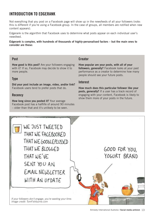## INTRODUCTION TO EDGERANK

Not everything that you post on a Facebook page will show up in the newsfeeds of all your followers (note: this is different if you're using a Facebook group. In the case of groups, all members are notified when new content appears).

Edgerank is the algorithm that Facebook uses to determine what posts appear on each individual user's newsfeed.

Edgerank is complex, with hundreds of thousands of highly-personalised factors – but the main ones to consider are these:

#### **Post**

**Creator** 

How good is this post? Are your followers engaging with it? If so, Facebook may decide to show it to more people.

#### Type

Did your post include an image, video, and/or link? Facebook users tend to prefer posts that do.

#### **Recency**

How long since you posted it? Your average Facebook post has a halflife of around 90 minutes – older than that and it's unlikely to be seen.

#### How popular are your posts, with all of your followers, generally? Facebook looks at your past performance as a creator to determine how many people should see your future posts.

#### Interest

How much does this particular follower like your posts, generally? If a user has a track record of engaging with your content, Facebook is likely to show them more of your posts in the future.

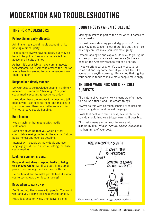## MODERATION AND TROUBLESHOOTING

## TIPS FOR MODERATORS

#### Follow dinner party etiquette

Administering a social media account is like hosting a dinner party.

People don't always have to agree, but they do have to be polite. Passionate debate is fine; abuse and insults are not.

As host, it's your job to make sure all guests feel welcome, so if someone crosses the line (or is only hanging around to be a nuisance) show them the door.

#### Respond in a timely manner

Do your best to acknowledge people in a timely manner. This requires 'checking in' on your social media account at least once a day.

If you don't have the answer to a question, tell people you'll get back to them (and make sure you do) or send them to a better source of info. Try not to leave people hanging.

#### Be a human.

Not a machine that regurgitates media statements.

Don't say anything that you wouldn't feel comfortable seeing quoted in the media. But do be as honest and open as possible.

Interact with people as individuals and use language you'd use in a social setting (because social media).

#### Look for common ground.

People almost always respond badly to being told they're wrong. So, if you can, find a small piece of common ground and lead with that.

Be polite and aim to make people feel like what you're saying was their idea all along!

#### Know when to walk away.

Don't get into flame wars with people. You won't win, and you'll come off like a crazed fanatic.

Reply just once or twice, then leave it alone. *Know when to walk away. Image credit: xkcd.com*

### DODGY POSTS (WHEN TO DELETE)

Making mistakes is part of the deal when it comes to social media.

In most cases, deleting your dodgy post isn't the best way to go (once it's out there, it's out there – so deleting can just make you look more guilty).

Instead, apologise and explain. Or, stick to your guns and support your stance with evidence (is there a page on the Amnesty website you can link to?)

If you've offended people, it's usually best to just come out and say sorry (even if you don't feel like you've done anything wrong). Be warned that digging your heels in tends to make more people more angry.

### TRIGGER WARNINGS AND DIFFICULT **SUBJECTS**

The nature of Amnesty's work means we often need to discuss difficult and unpleasant things.

Always do this with as much sensitivity as possible, while using direct and honest language.

Posts that deal with child abuse, sexual abuse or suicide should involve a trigger warning if possible.

This just means alerting your followers with something like *[Trigger warning: sexual violence]* at the beginning of your post.

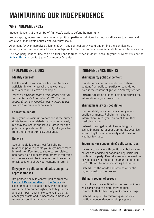## MAINTAINING OUR INDEPENDENCE

## WHY INDEPENDENCE?

Independence is at the centre of Amnesty's work to defend human rights.

Not accepting money from governments, political parties or religious institutions allows us to expose and criticise human rights abuses wherever they occur.

Alignment (or even perceived alignment) with any political party would undermine the significance of Amnesty's criticism – so we all have an obligation to keep our political views separate from our Amnesty work.

The non-party political line can be a tricky one to tread. When in doubt, speak to your fellow activists on the Activist Portal or contact your Community Organiser.

### INDEPENDENCE DOS

#### Identify yourself

Let the world know you're a team of Amnesty activists! Make it clear who runs your social media account. Here's an example:

*We're an awesome team of volunteers tweeting for the Amnesty International UNSW action group. Email convenor@amnesty.org.au to get*  involved. Retweet ≠ endorsement.

#### Follow the debate

Keep your followers up-to-date about the human rights issues being debated at a national level, but stay focused on the issues, rather than the political implications. If in doubt, take your lead from the national Amnesty accounts.

#### Network

Social media is a great tool for building relationships with people you might never meet in 'real life'. Feel free to share cause-related, non-party political posts from others if you think your followers will be interested. And remember to ask people to share your content in return!

#### Engage with political candidates and party representatives

It's perfectly okay to contact pollies from the House of Representatives or the Senate via social media to talk about how their policies will impact on human rights, or to tag them in a relevant post. Just make sure you're polite, check your facts and, if necessary, emphasise Amnesty's political independence.

### INDEPENDENCE DON'TS

#### Sharing party political content

It undermines our independence to share content from political parties or candidates – even if the content aligns with Amnesty's views.

Instead: Create an original post and express the information in your own words.

#### Sharing hearsay or speculation

Our credibility rests on the accuracy of our public comments. Refrain from sharing information unless you can point to multiple credible sources.

Instead: If you get wind of something that seems important, let your Community Organiser know. They'll be able to verify and advise on whether to share.

#### Endorsing (or condemning) political parties

It's okay to engage with politicians, but we can't be seen to endorse or condemn any particular politician or party. Keep discussions focused on how policies will impact on human rights, and don't attempt to influence voting behaviour.

Instead: Let the words and actions of public figures speak for themselves.

#### Stifling freedom of speech

Your followers are entitled to their own opinions. You don't need to delete party political comments that others may make on your page.

**Instead:** Respond by reiterating Amnesty's political independence, or simply ignore.